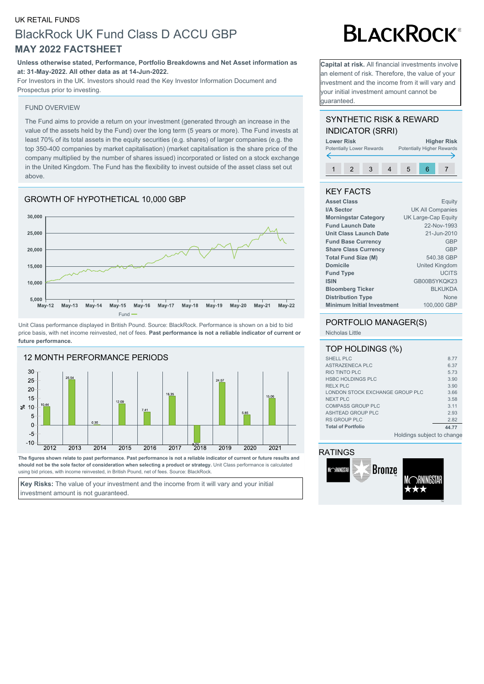#### UK RETAIL FUNDS

# BlackRock UK Fund Class D ACCU GBP **MAY 2022 FACTSHEET**

#### **Unless otherwise stated, Performance, Portfolio Breakdowns and Net Asset information as at: 31-May-2022. All other data as at 14-Jun-2022.**

For Investors in the UK. Investors should read the Key Investor Information Document and Prospectus prior to investing.

#### FUND OVERVIEW

The Fund aims to provide a return on your investment (generated through an increase in the value of the assets held by the Fund) over the long term (5 years or more). The Fund invests at least 70% of its total assets in the equity securities (e.g. shares) of larger companies (e.g. the top 350-400 companies by market capitalisation) (market capitalisation is the share price of the company multiplied by the number of shares issued) incorporated or listed on a stock exchange in the United Kingdom. The Fund has the flexibility to invest outside of the asset class set out above.

### GROWTH OF HYPOTHETICAL 10,000 GBP



Unit Class performance displayed in British Pound. Source: BlackRock. Performance is shown on a bid to bid price basis, with net income reinvested, net of fees. **Past performance is not a reliable indicator of current or future performance.**



**The figures shown relate to past performance. Past performance is not a reliable indicator of current or future results and should not be the sole factor of consideration when selecting a product or strategy.** Unit Class performance is calculated using bid prices, with income reinvested, in British Pound, net of fees. Source: BlackRock.

**Key Risks:** The value of your investment and the income from it will vary and your initial investment amount is not guaranteed.

# **BLACKROCK®**

**Capital at risk.** All financial investments involve an element of risk. Therefore, the value of your investment and the income from it will vary and your initial investment amount cannot be guaranteed.

### SYNTHETIC RISK & REWARD INDICATOR (SRRI)



#### KEY FACTS

| <b>Asset Class</b>                | Equity                  |
|-----------------------------------|-------------------------|
| I/A Sector                        | <b>UK All Companies</b> |
| <b>Morningstar Category</b>       | UK Large-Cap Equity     |
| <b>Fund Launch Date</b>           | 22-Nov-1993             |
| Unit Class Launch Date            | 21-Jun-2010             |
| <b>Fund Base Currency</b>         | <b>GBP</b>              |
| <b>Share Class Currency</b>       | GBP                     |
| <b>Total Fund Size (M)</b>        | 540.38 GBP              |
| <b>Domicile</b>                   | United Kingdom          |
| <b>Fund Type</b>                  | <b>UCITS</b>            |
| <b>ISIN</b>                       | GB00B5YKOK23            |
| <b>Bloomberg Ticker</b>           | <b>BLKUKDA</b>          |
| <b>Distribution Type</b>          | None                    |
| <b>Minimum Initial Investment</b> | 100,000 GBP             |
|                                   |                         |

#### PORTFOLIO MANAGER(S)

Nicholas Little

| TOP HOLDINGS (%)                |       |
|---------------------------------|-------|
| SHELL PLC                       | 8.77  |
| ASTRAZENECA PLC                 | 6.37  |
| RIO TINTO PLC                   | 5.73  |
| <b>HSBC HOLDINGS PLC</b>        | 3.90  |
| <b>RELX PLC</b>                 | 3.90  |
| LONDON STOCK EXCHANGE GROUP PLC | 3.66  |
| <b>NEXT PLC</b>                 | 3.58  |
| <b>COMPASS GROUP PLC</b>        | 3.11  |
| ASHTEAD GROUP PLC               | 2.93  |
| <b>RS GROUP PLC</b>             | 2.82  |
| <b>Total of Portfolio</b>       | 44.77 |
| Holdings subject to change      |       |

#### RATINGS

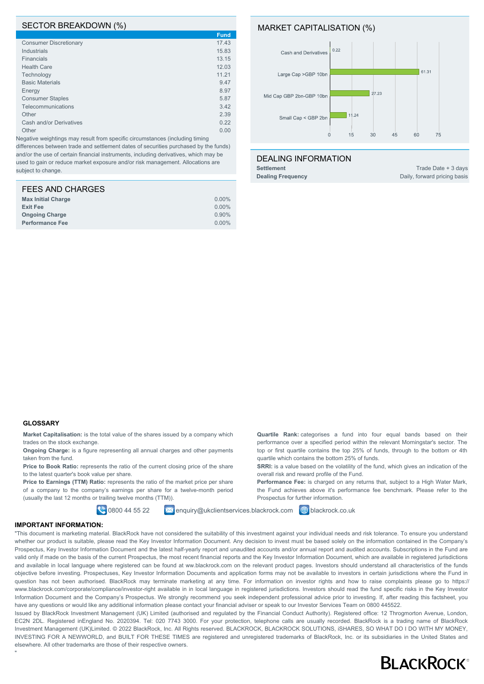#### SECTOR BREAKDOWN (%)

|                               | <b>Fund</b> |
|-------------------------------|-------------|
| <b>Consumer Discretionary</b> | 17.43       |
| <b>Industrials</b>            | 15.83       |
| <b>Financials</b>             | 13.15       |
| <b>Health Care</b>            | 12.03       |
| Technology                    | 11.21       |
| <b>Basic Materials</b>        | 9.47        |
| Energy                        | 8.97        |
| <b>Consumer Staples</b>       | 5.87        |
| Telecommunications            | 3.42        |
| Other                         | 2.39        |
| Cash and/or Derivatives       | 0.22        |
| Other                         | 0.00        |

Negative weightings may result from specific circumstances (including timing differences between trade and settlement dates of securities purchased by the funds) and/or the use of certain financial instruments, including derivatives, which may be used to gain or reduce market exposure and/or risk management. Allocations are subject to change.

| FEES AND CHARGES          |          |
|---------------------------|----------|
| <b>Max Initial Charge</b> | $0.00\%$ |
| <b>Exit Fee</b>           | 0.00%    |
| <b>Ongoing Charge</b>     | 0.90%    |
| <b>Performance Fee</b>    | $0.00\%$ |

#### MARKET CAPITALISATION (%)



**Quartile Rank:** categorises a fund into four equal bands based on their performance over a specified period within the relevant Morningstar's sector. The top or first quartile contains the top 25% of funds, through to the bottom or 4th

**SRRI:** is a value based on the volatility of the fund, which gives an indication of the

Performance Fee: is charged on any returns that, subject to a High Water Mark, the Fund achieves above it's performance fee benchmark. Please refer to the

quartile which contains the bottom 25% of funds.

overall risk and reward profile of the Fund.

Prospectus for further information.

#### DEALING INFORMATION

**Settlement** Trade Date + 3 days **Dealing Frequency** Daily, forward pricing basis

#### **GLOSSARY**

**Market Capitalisation:** is the total value of the shares issued by a company which trades on the stock exchange.

**Ongoing Charge:** is a figure representing all annual charges and other payments taken from the fund.

Price to Book Ratio: represents the ratio of the current closing price of the share to the latest quarter's book value per share.

Price to Earnings (TTM) Ratio: represents the ratio of the market price per share of a company to the company's earnings per share for a twelve-month period (usually the last 12 months or trailing twelve months (TTM)).

**0800 44 55 22 Ex enquiry@ukclientservices.blackrock.com @** blackrock.co.uk

#### **IMPORTANT INFORMATION:**

"

"This document is marketing material. BlackRock have not considered the suitability of this investment against your individual needs and risk tolerance. To ensure you understand whether our product is suitable, please read the Key Investor Information Document. Any decision to invest must be based solely on the information contained in the Company's Prospectus, Key Investor Information Document and the latest half-yearly report and unaudited accounts and/or annual report and audited accounts. Subscriptions in the Fund are valid only if made on the basis of the current Prospectus, the most recent financial reports and the Key Investor Information Document, which are available in registered jurisdictions and available in local language where registered can be found at ww.blackrock.com on the relevant product pages. Investors should understand all characteristics of the funds objective before investing. Prospectuses, Key Investor Information Documents and application forms may not be available to investors in certain jurisdictions where the Fund in question has not been authorised. BlackRock may terminate marketing at any time. For information on investor rights and how to raise complaints please go to https:// www.blackrock.com/corporate/compliance/investor-right available in in local language in registered jurisdictions. Investors should read the fund specific risks in the Key Investor Information Document and the Company's Prospectus. We strongly recommend you seek independent professional advice prior to investing. If, after reading this factsheet, you have any questions or would like any additional information please contact your financial adviser or speak to our Investor Services Team on 0800 445522.

Issued by BlackRock Investment Management (UK) Limited (authorised and regulated by the Financial Conduct Authority). Registered office: 12 Throgmorton Avenue, London, EC2N 2DL. Registered inEngland No. 2020394. Tel: 020 7743 3000. For your protection, telephone calls are usually recorded. BlackRock is a trading name of BlackRock Investment Management (UK)Limited. © 2022 BlackRock, Inc. All Rights reserved. BLACKROCK, BLACKROCK SOLUTIONS, iSHARES, SO WHAT DO I DO WITH MY MONEY, INVESTING FOR A NEWWORLD, and BUILT FOR THESE TIMES are registered and unregistered trademarks of BlackRock, Inc. or its subsidiaries in the United States and elsewhere. All other trademarks are those of their respective owners.